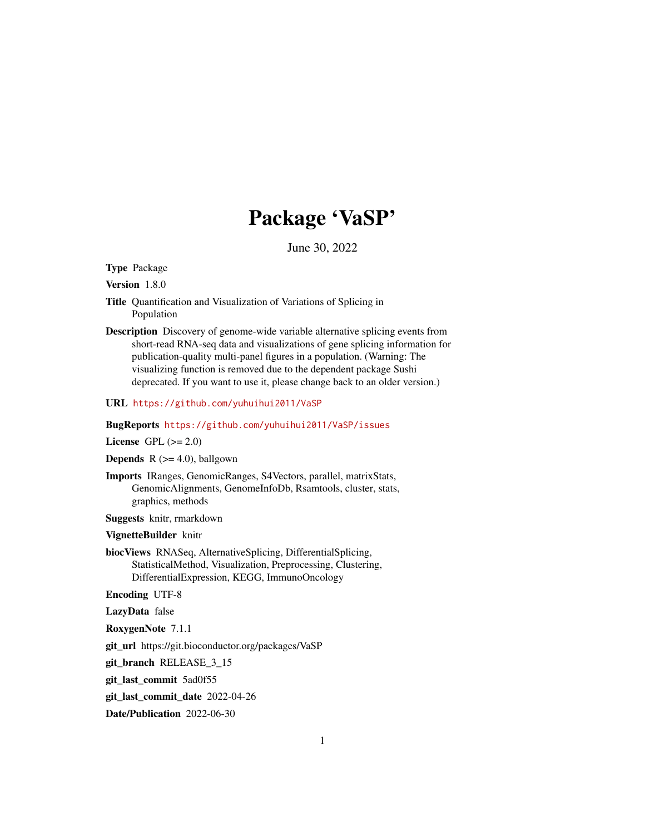# Package 'VaSP'

June 30, 2022

<span id="page-0-0"></span>Type Package

Version 1.8.0

- Title Quantification and Visualization of Variations of Splicing in Population
- Description Discovery of genome-wide variable alternative splicing events from short-read RNA-seq data and visualizations of gene splicing information for publication-quality multi-panel figures in a population. (Warning: The visualizing function is removed due to the dependent package Sushi deprecated. If you want to use it, please change back to an older version.)

#### URL <https://github.com/yuhuihui2011/VaSP>

#### BugReports <https://github.com/yuhuihui2011/VaSP/issues>

License GPL  $(>= 2.0)$ 

**Depends**  $R$  ( $>= 4.0$ ), ballgown

Imports IRanges, GenomicRanges, S4Vectors, parallel, matrixStats, GenomicAlignments, GenomeInfoDb, Rsamtools, cluster, stats, graphics, methods

Suggests knitr, rmarkdown

VignetteBuilder knitr

biocViews RNASeq, AlternativeSplicing, DifferentialSplicing, StatisticalMethod, Visualization, Preprocessing, Clustering, DifferentialExpression, KEGG, ImmunoOncology

Encoding UTF-8

LazyData false

RoxygenNote 7.1.1

git\_url https://git.bioconductor.org/packages/VaSP

git branch RELEASE 3 15

git\_last\_commit 5ad0f55

git\_last\_commit\_date 2022-04-26

Date/Publication 2022-06-30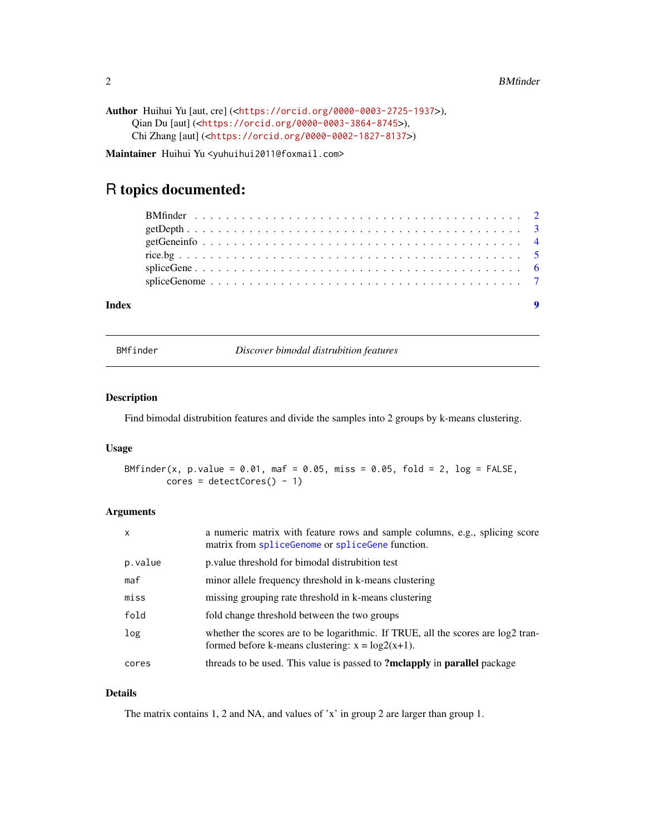```
Author Huihui Yu [aut, cre] (<https://orcid.org/0000-0003-2725-1937>),
     Qian Du [aut] (<https://orcid.org/0000-0003-3864-8745>),
     Chi Zhang [aut] (<https://orcid.org/0000-0002-1827-8137>)
```
Maintainer Huihui Yu <yuhuihui2011@foxmail.com>

## R topics documented:

| Index |  |  |  |  |  |  |  |  |  |  |  |  |  |  |  |  |  |  |  |
|-------|--|--|--|--|--|--|--|--|--|--|--|--|--|--|--|--|--|--|--|

BMfinder *Discover bimodal distrubition features*

#### Description

Find bimodal distrubition features and divide the samples into 2 groups by k-means clustering.

#### Usage

BMfinder(x, p.value =  $0.01$ , maf =  $0.05$ , miss =  $0.05$ , fold =  $2$ , log = FALSE,  $cores = detectCores() - 1)$ 

#### Arguments

| $\mathsf{x}$ | a numeric matrix with feature rows and sample columns, e.g., splicing score<br>matrix from spliceGenome or spliceGene function.         |
|--------------|-----------------------------------------------------------------------------------------------------------------------------------------|
| p.value      | p. value threshold for bimodal distrubition test                                                                                        |
| maf          | minor allele frequency threshold in k-means clustering                                                                                  |
| miss         | missing grouping rate threshold in k-means clustering                                                                                   |
| fold         | fold change threshold between the two groups                                                                                            |
| log          | whether the scores are to be logarithmic. If TRUE, all the scores are log2 tran-<br>formed before k-means clustering: $x = log2(x+1)$ . |
| cores        | threads to be used. This value is passed to <b>?mclapply</b> in <b>parallel</b> package                                                 |

#### Details

The matrix contains 1, 2 and NA, and values of 'x' in group 2 are larger than group 1.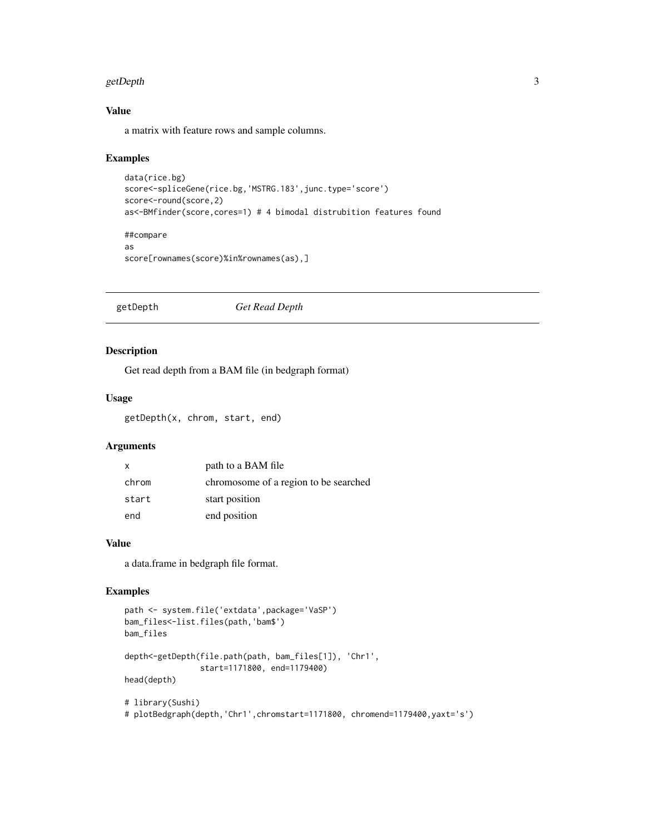#### <span id="page-2-0"></span>getDepth 3

#### Value

a matrix with feature rows and sample columns.

#### Examples

```
data(rice.bg)
score<-spliceGene(rice.bg,'MSTRG.183',junc.type='score')
score<-round(score,2)
as<-BMfinder(score,cores=1) # 4 bimodal distrubition features found
##compare
as
score[rownames(score)%in%rownames(as),]
```
getDepth *Get Read Depth*

#### Description

Get read depth from a BAM file (in bedgraph format)

#### Usage

getDepth(x, chrom, start, end)

#### Arguments

| x     | path to a BAM file                    |
|-------|---------------------------------------|
| chrom | chromosome of a region to be searched |
| start | start position                        |
| end   | end position                          |

#### Value

a data.frame in bedgraph file format.

#### Examples

```
path <- system.file('extdata',package='VaSP')
bam_files<-list.files(path,'bam$')
bam_files
depth<-getDepth(file.path(path, bam_files[1]), 'Chr1',
                start=1171800, end=1179400)
head(depth)
# library(Sushi)
```
# plotBedgraph(depth,'Chr1',chromstart=1171800, chromend=1179400,yaxt='s')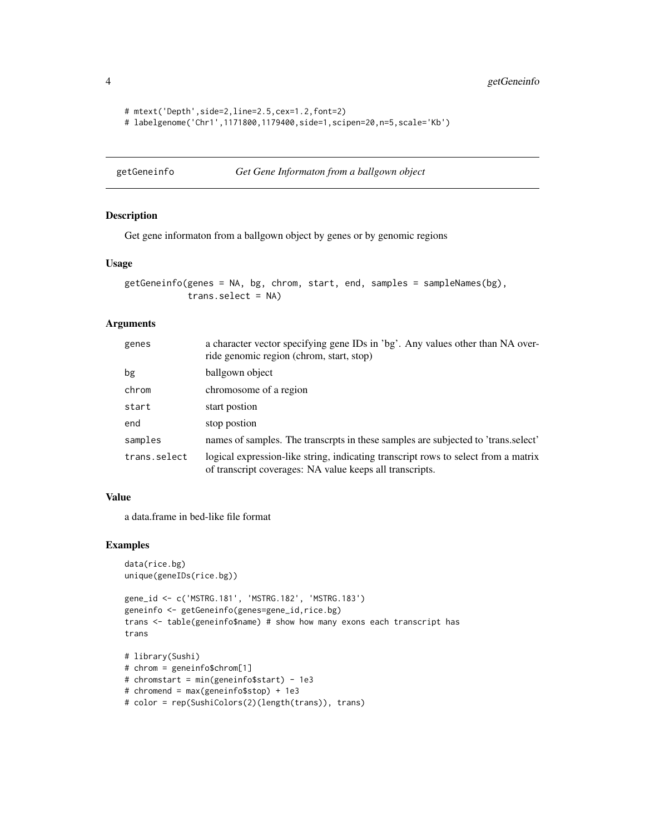<span id="page-3-0"></span>4 getGeneinfo

```
# mtext('Depth',side=2,line=2.5,cex=1.2,font=2)
# labelgenome('Chr1',1171800,1179400,side=1,scipen=20,n=5,scale='Kb')
```
getGeneinfo *Get Gene Informaton from a ballgown object*

#### Description

Get gene informaton from a ballgown object by genes or by genomic regions

#### Usage

```
getGeneinfo(genes = NA, bg, chrom, start, end, samples = sampleNames(bg),
            trans.select = NA)
```
#### Arguments

| genes        | a character vector specifying gene IDs in 'bg'. Any values other than NA over-<br>ride genomic region (chrom, start, stop)                     |
|--------------|------------------------------------------------------------------------------------------------------------------------------------------------|
| bg           | ballgown object                                                                                                                                |
| chrom        | chromosome of a region                                                                                                                         |
| start        | start postion                                                                                                                                  |
| end          | stop postion                                                                                                                                   |
| samples      | names of samples. The transcrpts in these samples are subjected to 'trans.select'                                                              |
| trans.select | logical expression-like string, indicating transcript rows to select from a matrix<br>of transcript coverages: NA value keeps all transcripts. |

#### Value

a data.frame in bed-like file format

#### Examples

```
data(rice.bg)
unique(geneIDs(rice.bg))
```

```
gene_id <- c('MSTRG.181', 'MSTRG.182', 'MSTRG.183')
geneinfo <- getGeneinfo(genes=gene_id,rice.bg)
trans <- table(geneinfo$name) # show how many exons each transcript has
trans
```

```
# library(Sushi)
# chrom = geneinfo$chrom[1]
# chromstart = min(geneinfo$start) - 1e3
# chromend = max(geneinfo$stop) + 1e3
# color = rep(SushiColors(2)(length(trans)), trans)
```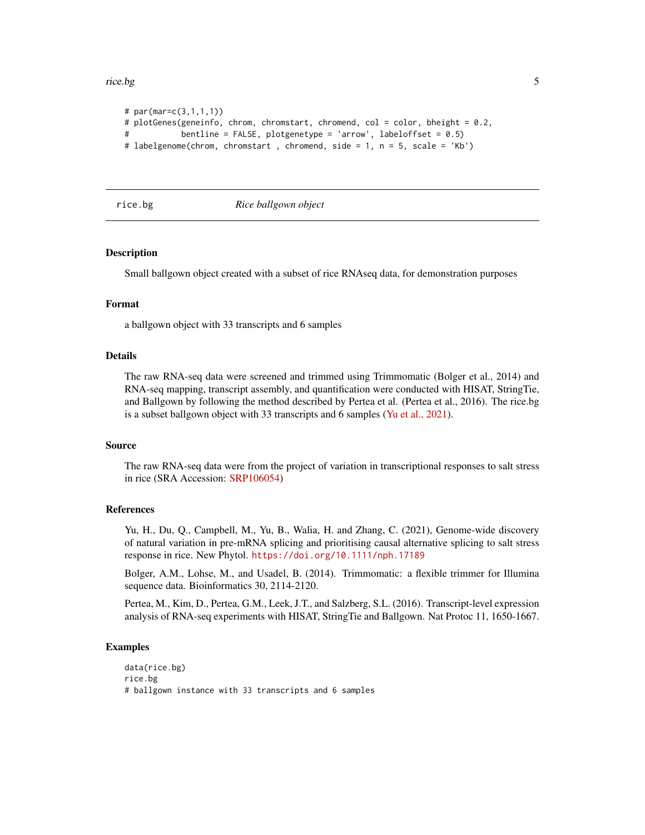#### <span id="page-4-0"></span>rice.bg 5

```
# par(mar=c(3,1,1,1))
# plotGenes(geneinfo, chrom, chromstart, chromend, col = color, bheight = 0.2,
# bentline = FALSE, plotgenetype = 'arrow', labeloffset = 0.5)
# labelgenome(chrom, chromstart , chromend, side = 1, n = 5, scale = 'Kb')
```
rice.bg *Rice ballgown object*

#### Description

Small ballgown object created with a subset of rice RNAseq data, for demonstration purposes

#### Format

a ballgown object with 33 transcripts and 6 samples

#### Details

The raw RNA-seq data were screened and trimmed using Trimmomatic (Bolger et al., 2014) and RNA-seq mapping, transcript assembly, and quantification were conducted with HISAT, StringTie, and Ballgown by following the method described by Pertea et al. (Pertea et al., 2016). The rice.bg is a subset ballgown object with 33 transcripts and 6 samples [\(Yu et al., 2021\)](https://doi.org/10.1111/nph.17189).

#### Source

The raw RNA-seq data were from the project of variation in transcriptional responses to salt stress in rice (SRA Accession: [SRP106054\)](https://trace.ncbi.nlm.nih.gov/Traces/sra/?study=SRP106054)

#### References

Yu, H., Du, Q., Campbell, M., Yu, B., Walia, H. and Zhang, C. (2021), Genome-wide discovery of natural variation in pre-mRNA splicing and prioritising causal alternative splicing to salt stress response in rice. New Phytol. <https://doi.org/10.1111/nph.17189>

Bolger, A.M., Lohse, M., and Usadel, B. (2014). Trimmomatic: a flexible trimmer for Illumina sequence data. Bioinformatics 30, 2114-2120.

Pertea, M., Kim, D., Pertea, G.M., Leek, J.T., and Salzberg, S.L. (2016). Transcript-level expression analysis of RNA-seq experiments with HISAT, StringTie and Ballgown. Nat Protoc 11, 1650-1667.

#### Examples

data(rice.bg) rice.bg # ballgown instance with 33 transcripts and 6 samples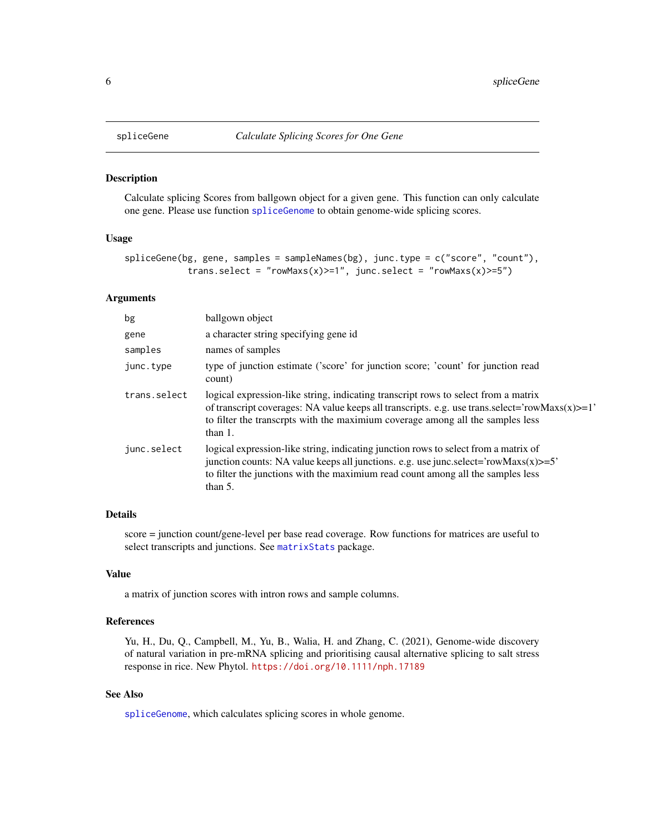<span id="page-5-1"></span><span id="page-5-0"></span>

#### Description

Calculate splicing Scores from ballgown object for a given gene. This function can only calculate one gene. Please use function [spliceGenome](#page-6-1) to obtain genome-wide splicing scores.

#### Usage

```
spliceGene(bg, gene, samples = sampleNames(bg), junc.type = c("score", "count"),
            trans.select = "rowMaxs(x) >=1", junc.select = "rowMaxs(x) >=5")
```
#### **Arguments**

| bg           | ballgown object                                                                                                                                                                                                                                                                          |
|--------------|------------------------------------------------------------------------------------------------------------------------------------------------------------------------------------------------------------------------------------------------------------------------------------------|
| gene         | a character string specifying gene id                                                                                                                                                                                                                                                    |
| samples      | names of samples                                                                                                                                                                                                                                                                         |
| junc.type    | type of junction estimate ('score' for junction score; 'count' for junction read<br>count)                                                                                                                                                                                               |
| trans.select | logical expression-like string, indicating transcript rows to select from a matrix<br>of transcript coverages: NA value keeps all transcripts. e.g. use trans.select='row $Maxs(x)=1'$ '<br>to filter the transcrpts with the maximium coverage among all the samples less<br>than $1$ . |
| junc.select  | logical expression-like string, indicating junction rows to select from a matrix of<br>junction counts: NA value keeps all junctions. e.g. use junc.select='rowMaxs $(x)$ >=5'<br>to filter the junctions with the maximium read count among all the samples less<br>than $5$ .          |

#### Details

score = junction count/gene-level per base read coverage. Row functions for matrices are useful to select transcripts and junctions. See [matrixStats](#page-0-0) package.

#### Value

a matrix of junction scores with intron rows and sample columns.

#### References

Yu, H., Du, Q., Campbell, M., Yu, B., Walia, H. and Zhang, C. (2021), Genome-wide discovery of natural variation in pre-mRNA splicing and prioritising causal alternative splicing to salt stress response in rice. New Phytol. <https://doi.org/10.1111/nph.17189>

#### See Also

[spliceGenome](#page-6-1), which calculates splicing scores in whole genome.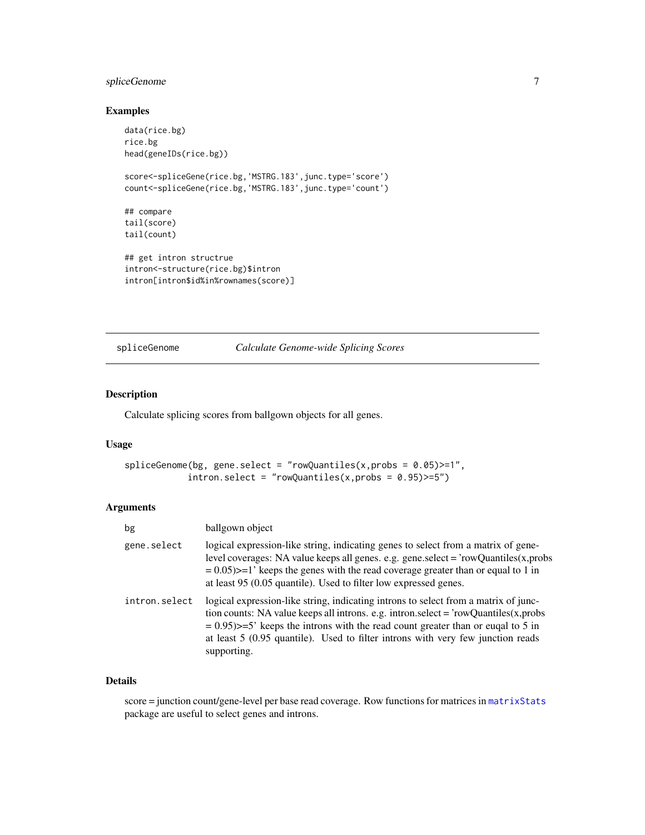#### <span id="page-6-0"></span>spliceGenome 7

### Examples

```
data(rice.bg)
rice.bg
head(geneIDs(rice.bg))
score<-spliceGene(rice.bg,'MSTRG.183',junc.type='score')
count<-spliceGene(rice.bg,'MSTRG.183',junc.type='count')
## compare
tail(score)
tail(count)
## get intron structrue
intron<-structure(rice.bg)$intron
intron[intron$id%in%rownames(score)]
```
<span id="page-6-1"></span>spliceGenome *Calculate Genome-wide Splicing Scores*

#### Description

Calculate splicing scores from ballgown objects for all genes.

#### Usage

```
spliceGenome(bg, gene.select = "rowQuantiles(x,probs = 0.05)>=1",
            \text{intron.select} = "rowQuantiles(x,probs = 0.95) \ge 5")
```
#### Arguments

| bg            | ballgown object                                                                                                                                                                                                                                                                                                                                                                            |
|---------------|--------------------------------------------------------------------------------------------------------------------------------------------------------------------------------------------------------------------------------------------------------------------------------------------------------------------------------------------------------------------------------------------|
| gene.select   | logical expression-like string, indicating genes to select from a matrix of gene-<br>level coverages: NA value keeps all genes. e.g. gene.select = 'rowQuantiles(x,probs<br>$= 0.05$ >=1' keeps the genes with the read coverage greater than or equal to 1 in<br>at least 95 (0.05 quantile). Used to filter low expressed genes.                                                         |
| intron.select | logical expression-like string, indicating introns to select from a matrix of junc-<br>tion counts: NA value keeps all introns. e.g. intronselect = $\text{'rowQuantiles}(x, \text{probs})$<br>$= 0.95$ $\ge$ = 5' keeps the introns with the read count greater than or eugal to 5 in<br>at least $5$ (0.95 quantile). Used to filter introns with very few junction reads<br>supporting. |

#### Details

score = junction count/gene-level per base read coverage. Row functions for matrices in [matrixStats](#page-0-0) package are useful to select genes and introns.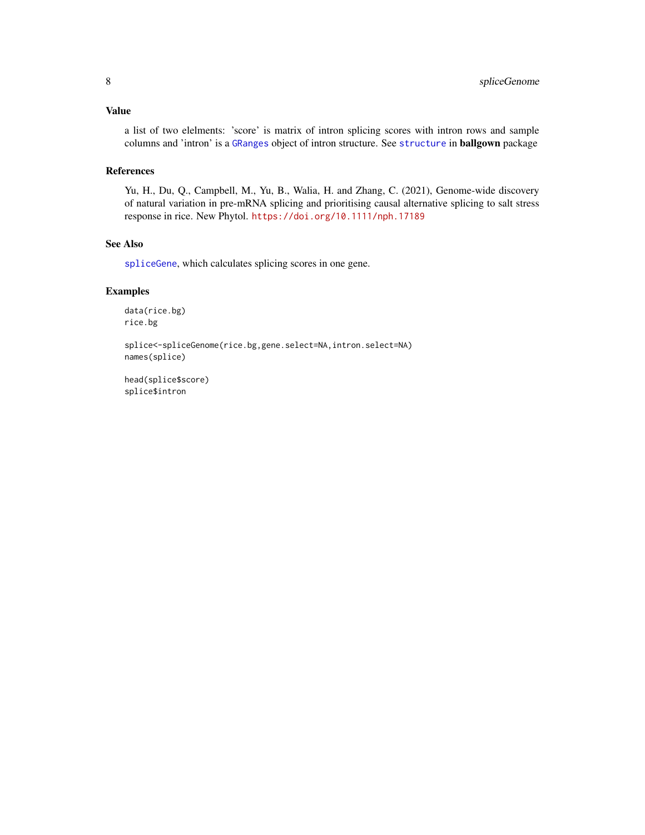#### <span id="page-7-0"></span>Value

a list of two elelments: 'score' is matrix of intron splicing scores with intron rows and sample columns and 'intron' is a [GRanges](#page-0-0) object of intron structure. See [structure](#page-0-0) in ballgown package

#### References

Yu, H., Du, Q., Campbell, M., Yu, B., Walia, H. and Zhang, C. (2021), Genome-wide discovery of natural variation in pre-mRNA splicing and prioritising causal alternative splicing to salt stress response in rice. New Phytol. <https://doi.org/10.1111/nph.17189>

#### See Also

[spliceGene](#page-5-1), which calculates splicing scores in one gene.

#### Examples

data(rice.bg) rice.bg

splice<-spliceGenome(rice.bg,gene.select=NA,intron.select=NA) names(splice)

head(splice\$score) splice\$intron